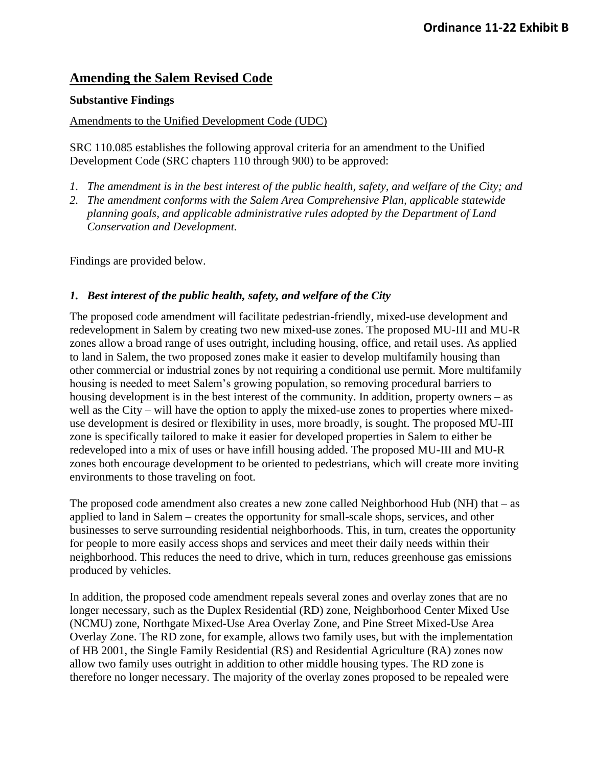# **Amending the Salem Revised Code**

#### **Substantive Findings**

#### Amendments to the Unified Development Code (UDC)

SRC 110.085 establishes the following approval criteria for an amendment to the Unified Development Code (SRC chapters 110 through 900) to be approved:

- *1. The amendment is in the best interest of the public health, safety, and welfare of the City; and*
- *2. The amendment conforms with the Salem Area Comprehensive Plan, applicable statewide planning goals, and applicable administrative rules adopted by the Department of Land Conservation and Development.*

Findings are provided below.

### *1. Best interest of the public health, safety, and welfare of the City*

The proposed code amendment will facilitate pedestrian-friendly, mixed-use development and redevelopment in Salem by creating two new mixed-use zones. The proposed MU-III and MU-R zones allow a broad range of uses outright, including housing, office, and retail uses. As applied to land in Salem, the two proposed zones make it easier to develop multifamily housing than other commercial or industrial zones by not requiring a conditional use permit. More multifamily housing is needed to meet Salem's growing population, so removing procedural barriers to housing development is in the best interest of the community. In addition, property owners – as well as the City – will have the option to apply the mixed-use zones to properties where mixeduse development is desired or flexibility in uses, more broadly, is sought. The proposed MU-III zone is specifically tailored to make it easier for developed properties in Salem to either be redeveloped into a mix of uses or have infill housing added. The proposed MU-III and MU-R zones both encourage development to be oriented to pedestrians, which will create more inviting environments to those traveling on foot.

The proposed code amendment also creates a new zone called Neighborhood Hub (NH) that  $-$  as applied to land in Salem – creates the opportunity for small-scale shops, services, and other businesses to serve surrounding residential neighborhoods. This, in turn, creates the opportunity for people to more easily access shops and services and meet their daily needs within their neighborhood. This reduces the need to drive, which in turn, reduces greenhouse gas emissions produced by vehicles.

In addition, the proposed code amendment repeals several zones and overlay zones that are no longer necessary, such as the Duplex Residential (RD) zone, Neighborhood Center Mixed Use (NCMU) zone, Northgate Mixed-Use Area Overlay Zone, and Pine Street Mixed-Use Area Overlay Zone. The RD zone, for example, allows two family uses, but with the implementation of HB 2001, the Single Family Residential (RS) and Residential Agriculture (RA) zones now allow two family uses outright in addition to other middle housing types. The RD zone is therefore no longer necessary. The majority of the overlay zones proposed to be repealed were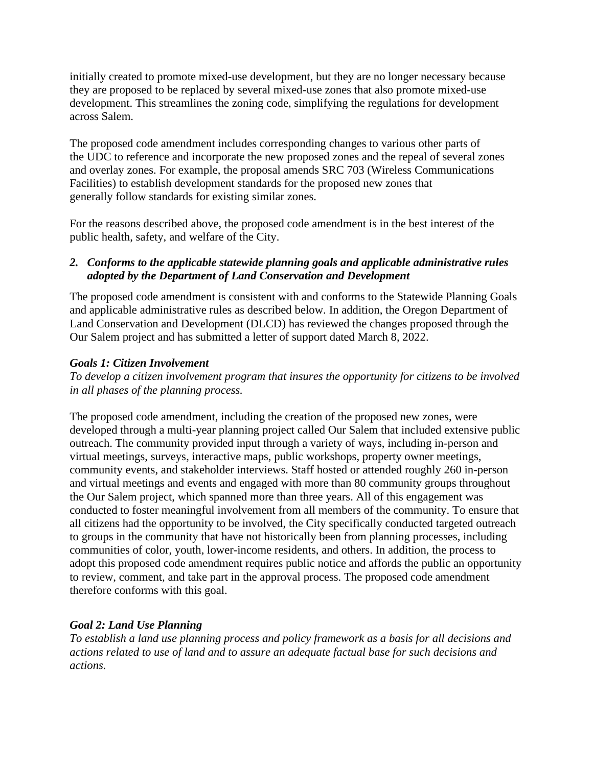initially created to promote mixed-use development, but they are no longer necessary because they are proposed to be replaced by several mixed-use zones that also promote mixed-use development. This streamlines the zoning code, simplifying the regulations for development across Salem.

The proposed code amendment includes corresponding changes to various other parts of the UDC to reference and incorporate the new proposed zones and the repeal of several zones and overlay zones. For example, the proposal amends SRC 703 (Wireless Communications Facilities) to establish development standards for the proposed new zones that generally follow standards for existing similar zones.

For the reasons described above, the proposed code amendment is in the best interest of the public health, safety, and welfare of the City.

### *2. Conforms to the applicable statewide planning goals and applicable administrative rules adopted by the Department of Land Conservation and Development*

The proposed code amendment is consistent with and conforms to the Statewide Planning Goals and applicable administrative rules as described below. In addition, the Oregon Department of Land Conservation and Development (DLCD) has reviewed the changes proposed through the Our Salem project and has submitted a letter of support dated March 8, 2022.

### *Goals 1: Citizen Involvement*

*To develop a citizen involvement program that insures the opportunity for citizens to be involved in all phases of the planning process.*

The proposed code amendment, including the creation of the proposed new zones, were developed through a multi-year planning project called Our Salem that included extensive public outreach. The community provided input through a variety of ways, including in-person and virtual meetings, surveys, interactive maps, public workshops, property owner meetings, community events, and stakeholder interviews. Staff hosted or attended roughly 260 in-person and virtual meetings and events and engaged with more than 80 community groups throughout the Our Salem project, which spanned more than three years. All of this engagement was conducted to foster meaningful involvement from all members of the community. To ensure that all citizens had the opportunity to be involved, the City specifically conducted targeted outreach to groups in the community that have not historically been from planning processes, including communities of color, youth, lower-income residents, and others. In addition, the process to adopt this proposed code amendment requires public notice and affords the public an opportunity to review, comment, and take part in the approval process. The proposed code amendment therefore conforms with this goal.

# *Goal 2: Land Use Planning*

*To establish a land use planning process and policy framework as a basis for all decisions and actions related to use of land and to assure an adequate factual base for such decisions and actions.*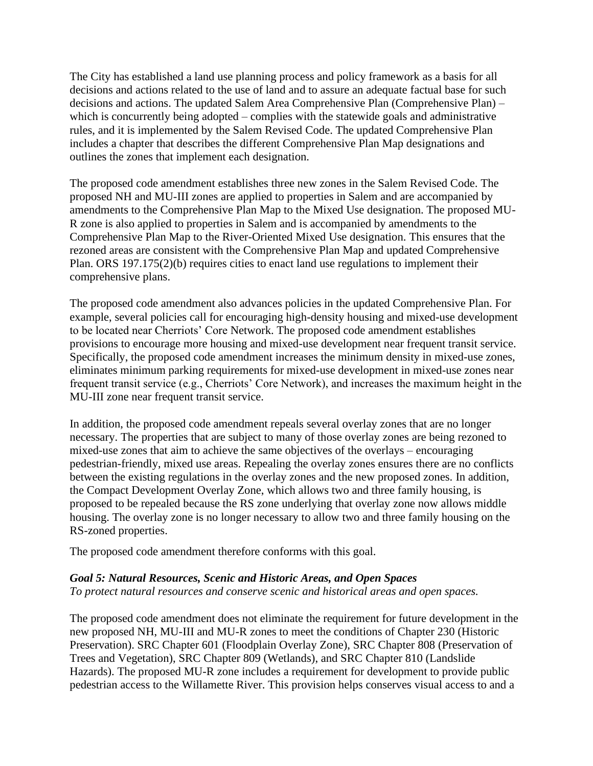The City has established a land use planning process and policy framework as a basis for all decisions and actions related to the use of land and to assure an adequate factual base for such decisions and actions. The updated Salem Area Comprehensive Plan (Comprehensive Plan) – which is concurrently being adopted – complies with the statewide goals and administrative rules, and it is implemented by the Salem Revised Code. The updated Comprehensive Plan includes a chapter that describes the different Comprehensive Plan Map designations and outlines the zones that implement each designation.

The proposed code amendment establishes three new zones in the Salem Revised Code. The proposed NH and MU-III zones are applied to properties in Salem and are accompanied by amendments to the Comprehensive Plan Map to the Mixed Use designation. The proposed MU-R zone is also applied to properties in Salem and is accompanied by amendments to the Comprehensive Plan Map to the River-Oriented Mixed Use designation. This ensures that the rezoned areas are consistent with the Comprehensive Plan Map and updated Comprehensive Plan. ORS 197.175(2)(b) requires cities to enact land use regulations to implement their comprehensive plans.

The proposed code amendment also advances policies in the updated Comprehensive Plan. For example, several policies call for encouraging high-density housing and mixed-use development to be located near Cherriots' Core Network. The proposed code amendment establishes provisions to encourage more housing and mixed-use development near frequent transit service. Specifically, the proposed code amendment increases the minimum density in mixed-use zones, eliminates minimum parking requirements for mixed-use development in mixed-use zones near frequent transit service (e.g., Cherriots' Core Network), and increases the maximum height in the MU-III zone near frequent transit service.

In addition, the proposed code amendment repeals several overlay zones that are no longer necessary. The properties that are subject to many of those overlay zones are being rezoned to mixed-use zones that aim to achieve the same objectives of the overlays – encouraging pedestrian-friendly, mixed use areas. Repealing the overlay zones ensures there are no conflicts between the existing regulations in the overlay zones and the new proposed zones. In addition, the Compact Development Overlay Zone, which allows two and three family housing, is proposed to be repealed because the RS zone underlying that overlay zone now allows middle housing. The overlay zone is no longer necessary to allow two and three family housing on the RS-zoned properties.

The proposed code amendment therefore conforms with this goal.

#### *Goal 5: Natural Resources, Scenic and Historic Areas, and Open Spaces*

*To protect natural resources and conserve scenic and historical areas and open spaces.*

The proposed code amendment does not eliminate the requirement for future development in the new proposed NH, MU-III and MU-R zones to meet the conditions of Chapter 230 (Historic Preservation). SRC Chapter 601 (Floodplain Overlay Zone), SRC Chapter 808 (Preservation of Trees and Vegetation), SRC Chapter 809 (Wetlands), and SRC Chapter 810 (Landslide Hazards). The proposed MU-R zone includes a requirement for development to provide public pedestrian access to the Willamette River. This provision helps conserves visual access to and a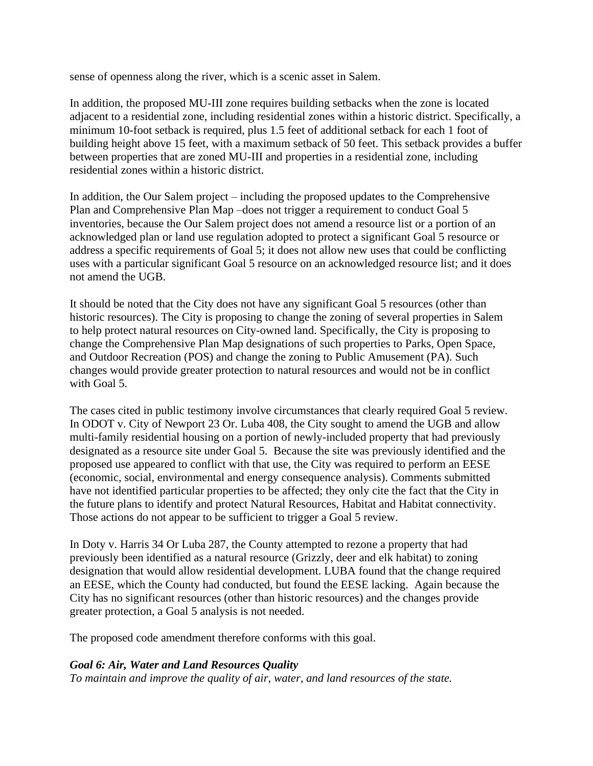sense of openness along the river, which is a scenic asset in Salem.

In addition, the proposed MU-III zone requires building setbacks when the zone is located adjacent to a residential zone, including residential zones within a historic district. Specifically, a minimum 10-foot setback is required, plus 1.5 feet of additional setback for each 1 foot of building height above 15 feet, with a maximum setback of 50 feet. This setback provides a buffer between properties that are zoned MU-III and properties in a residential zone, including residential zones within a historic district.

In addition, the Our Salem project – including the proposed updates to the Comprehensive Plan and Comprehensive Plan Map –does not trigger a requirement to conduct Goal 5 inventories, because the Our Salem project does not amend a resource list or a portion of an acknowledged plan or land use regulation adopted to protect a significant Goal 5 resource or address a specific requirements of Goal 5; it does not allow new uses that could be conflicting uses with a particular significant Goal 5 resource on an acknowledged resource list; and it does not amend the UGB.

It should be noted that the City does not have any significant Goal 5 resources (other than historic resources). The City is proposing to change the zoning of several properties in Salem to help protect natural resources on City-owned land. Specifically, the City is proposing to change the Comprehensive Plan Map designations of such properties to Parks, Open Space, and Outdoor Recreation (POS) and change the zoning to Public Amusement (PA). Such changes would provide greater protection to natural resources and would not be in conflict with Goal 5.

The cases cited in public testimony involve circumstances that clearly required Goal 5 review. In ODOT v. City of Newport 23 Or. Luba 408, the City sought to amend the UGB and allow multi-family residential housing on a portion of newly-included property that had previously designated as a resource site under Goal 5. Because the site was previously identified and the proposed use appeared to conflict with that use, the City was required to perform an EESE (economic, social, environmental and energy consequence analysis). Comments submitted have not identified particular properties to be affected; they only cite the fact that the City in the future plans to identify and protect Natural Resources, Habitat and Habitat connectivity. Those actions do not appear to be sufficient to trigger a Goal 5 review.

In Doty v. Harris 34 Or Luba 287, the County attempted to rezone a property that had previously been identified as a natural resource (Grizzly, deer and elk habitat) to zoning designation that would allow residential development. LUBA found that the change required an EESE, which the County had conducted, but found the EESE lacking. Again because the City has no significant resources (other than historic resources) and the changes provide greater protection, a Goal 5 analysis is not needed.

The proposed code amendment therefore conforms with this goal.

### *Goal 6: Air, Water and Land Resources Quality*

*To maintain and improve the quality of air, water, and land resources of the state.*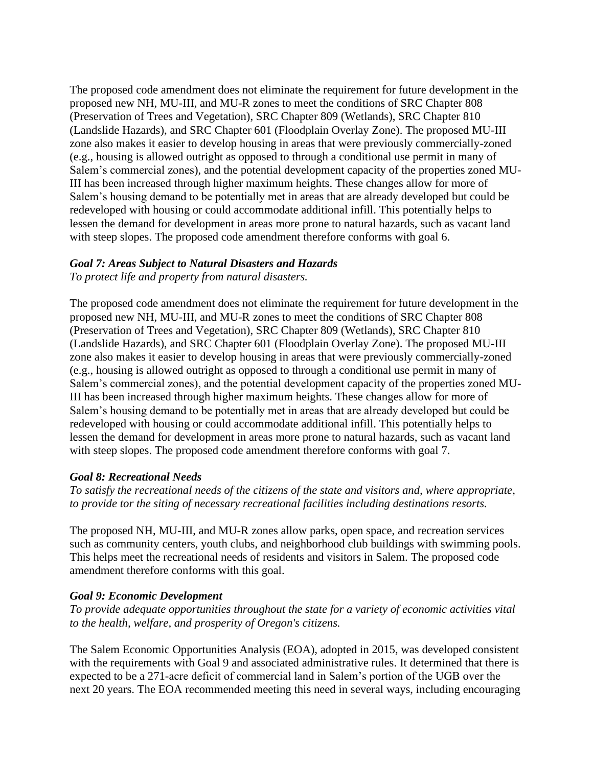The proposed code amendment does not eliminate the requirement for future development in the proposed new NH, MU-III, and MU-R zones to meet the conditions of SRC Chapter 808 (Preservation of Trees and Vegetation), SRC Chapter 809 (Wetlands), SRC Chapter 810 (Landslide Hazards), and SRC Chapter 601 (Floodplain Overlay Zone). The proposed MU-III zone also makes it easier to develop housing in areas that were previously commercially-zoned (e.g., housing is allowed outright as opposed to through a conditional use permit in many of Salem's commercial zones), and the potential development capacity of the properties zoned MU-III has been increased through higher maximum heights. These changes allow for more of Salem's housing demand to be potentially met in areas that are already developed but could be redeveloped with housing or could accommodate additional infill. This potentially helps to lessen the demand for development in areas more prone to natural hazards, such as vacant land with steep slopes. The proposed code amendment therefore conforms with goal 6.

#### *Goal 7: Areas Subject to Natural Disasters and Hazards*

*To protect life and property from natural disasters.*

The proposed code amendment does not eliminate the requirement for future development in the proposed new NH, MU-III, and MU-R zones to meet the conditions of SRC Chapter 808 (Preservation of Trees and Vegetation), SRC Chapter 809 (Wetlands), SRC Chapter 810 (Landslide Hazards), and SRC Chapter 601 (Floodplain Overlay Zone). The proposed MU-III zone also makes it easier to develop housing in areas that were previously commercially-zoned (e.g., housing is allowed outright as opposed to through a conditional use permit in many of Salem's commercial zones), and the potential development capacity of the properties zoned MU-III has been increased through higher maximum heights. These changes allow for more of Salem's housing demand to be potentially met in areas that are already developed but could be redeveloped with housing or could accommodate additional infill. This potentially helps to lessen the demand for development in areas more prone to natural hazards, such as vacant land with steep slopes. The proposed code amendment therefore conforms with goal 7.

### *Goal 8: Recreational Needs*

*To satisfy the recreational needs of the citizens of the state and visitors and, where appropriate, to provide tor the siting of necessary recreational facilities including destinations resorts.*

The proposed NH, MU-III, and MU-R zones allow parks, open space, and recreation services such as community centers, youth clubs, and neighborhood club buildings with swimming pools. This helps meet the recreational needs of residents and visitors in Salem. The proposed code amendment therefore conforms with this goal.

#### *Goal 9: Economic Development*

*To provide adequate opportunities throughout the state for a variety of economic activities vital to the health, welfare, and prosperity of Oregon's citizens.*

The Salem Economic Opportunities Analysis (EOA), adopted in 2015, was developed consistent with the requirements with Goal 9 and associated administrative rules. It determined that there is expected to be a 271-acre deficit of commercial land in Salem's portion of the UGB over the next 20 years. The EOA recommended meeting this need in several ways, including encouraging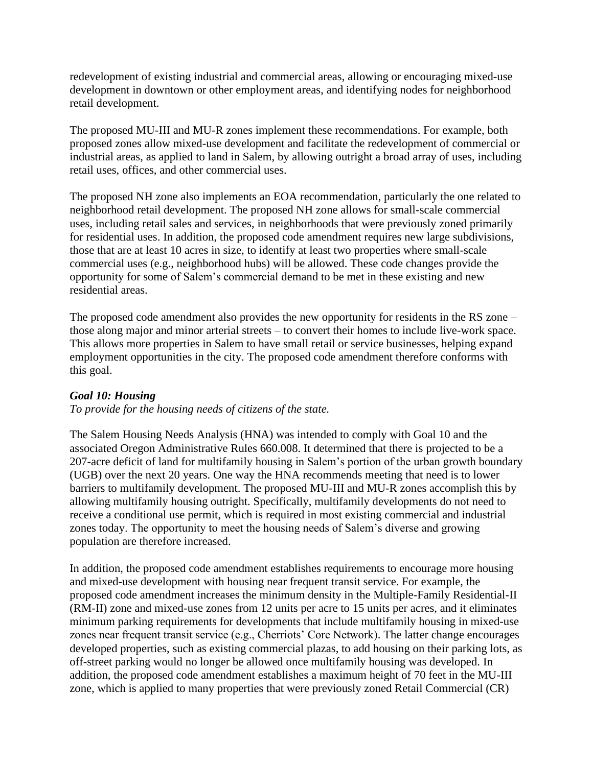redevelopment of existing industrial and commercial areas, allowing or encouraging mixed-use development in downtown or other employment areas, and identifying nodes for neighborhood retail development.

The proposed MU-III and MU-R zones implement these recommendations. For example, both proposed zones allow mixed-use development and facilitate the redevelopment of commercial or industrial areas, as applied to land in Salem, by allowing outright a broad array of uses, including retail uses, offices, and other commercial uses.

The proposed NH zone also implements an EOA recommendation, particularly the one related to neighborhood retail development. The proposed NH zone allows for small-scale commercial uses, including retail sales and services, in neighborhoods that were previously zoned primarily for residential uses. In addition, the proposed code amendment requires new large subdivisions, those that are at least 10 acres in size, to identify at least two properties where small-scale commercial uses (e.g., neighborhood hubs) will be allowed. These code changes provide the opportunity for some of Salem's commercial demand to be met in these existing and new residential areas.

The proposed code amendment also provides the new opportunity for residents in the RS zone – those along major and minor arterial streets – to convert their homes to include live-work space. This allows more properties in Salem to have small retail or service businesses, helping expand employment opportunities in the city. The proposed code amendment therefore conforms with this goal.

### *Goal 10: Housing*

*To provide for the housing needs of citizens of the state.*

The Salem Housing Needs Analysis (HNA) was intended to comply with Goal 10 and the associated Oregon Administrative Rules 660.008. It determined that there is projected to be a 207-acre deficit of land for multifamily housing in Salem's portion of the urban growth boundary (UGB) over the next 20 years. One way the HNA recommends meeting that need is to lower barriers to multifamily development. The proposed MU-III and MU-R zones accomplish this by allowing multifamily housing outright. Specifically, multifamily developments do not need to receive a conditional use permit, which is required in most existing commercial and industrial zones today. The opportunity to meet the housing needs of Salem's diverse and growing population are therefore increased.

In addition, the proposed code amendment establishes requirements to encourage more housing and mixed-use development with housing near frequent transit service. For example, the proposed code amendment increases the minimum density in the Multiple-Family Residential-II (RM-II) zone and mixed-use zones from 12 units per acre to 15 units per acres, and it eliminates minimum parking requirements for developments that include multifamily housing in mixed-use zones near frequent transit service (e.g., Cherriots' Core Network). The latter change encourages developed properties, such as existing commercial plazas, to add housing on their parking lots, as off-street parking would no longer be allowed once multifamily housing was developed. In addition, the proposed code amendment establishes a maximum height of 70 feet in the MU-III zone, which is applied to many properties that were previously zoned Retail Commercial (CR)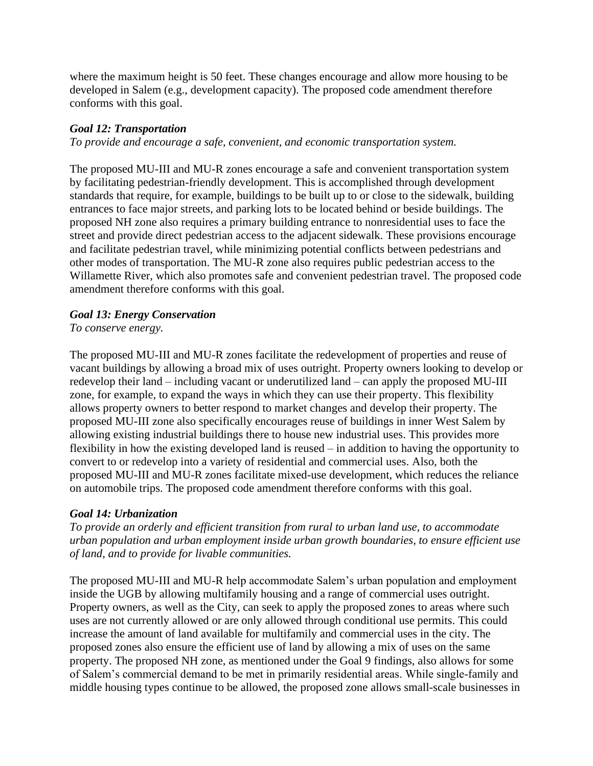where the maximum height is 50 feet. These changes encourage and allow more housing to be developed in Salem (e.g., development capacity). The proposed code amendment therefore conforms with this goal.

### *Goal 12: Transportation*

*To provide and encourage a safe, convenient, and economic transportation system.*

The proposed MU-III and MU-R zones encourage a safe and convenient transportation system by facilitating pedestrian-friendly development. This is accomplished through development standards that require, for example, buildings to be built up to or close to the sidewalk, building entrances to face major streets, and parking lots to be located behind or beside buildings. The proposed NH zone also requires a primary building entrance to nonresidential uses to face the street and provide direct pedestrian access to the adjacent sidewalk. These provisions encourage and facilitate pedestrian travel, while minimizing potential conflicts between pedestrians and other modes of transportation. The MU-R zone also requires public pedestrian access to the Willamette River, which also promotes safe and convenient pedestrian travel. The proposed code amendment therefore conforms with this goal.

### *Goal 13: Energy Conservation*

*To conserve energy.*

The proposed MU-III and MU-R zones facilitate the redevelopment of properties and reuse of vacant buildings by allowing a broad mix of uses outright. Property owners looking to develop or redevelop their land – including vacant or underutilized land – can apply the proposed MU-III zone, for example, to expand the ways in which they can use their property. This flexibility allows property owners to better respond to market changes and develop their property. The proposed MU-III zone also specifically encourages reuse of buildings in inner West Salem by allowing existing industrial buildings there to house new industrial uses. This provides more flexibility in how the existing developed land is reused – in addition to having the opportunity to convert to or redevelop into a variety of residential and commercial uses. Also, both the proposed MU-III and MU-R zones facilitate mixed-use development, which reduces the reliance on automobile trips. The proposed code amendment therefore conforms with this goal.

### *Goal 14: Urbanization*

*To provide an orderly and efficient transition from rural to urban land use, to accommodate urban population and urban employment inside urban growth boundaries, to ensure efficient use of land, and to provide for livable communities.*

The proposed MU-III and MU-R help accommodate Salem's urban population and employment inside the UGB by allowing multifamily housing and a range of commercial uses outright. Property owners, as well as the City, can seek to apply the proposed zones to areas where such uses are not currently allowed or are only allowed through conditional use permits. This could increase the amount of land available for multifamily and commercial uses in the city. The proposed zones also ensure the efficient use of land by allowing a mix of uses on the same property. The proposed NH zone, as mentioned under the Goal 9 findings, also allows for some of Salem's commercial demand to be met in primarily residential areas. While single-family and middle housing types continue to be allowed, the proposed zone allows small-scale businesses in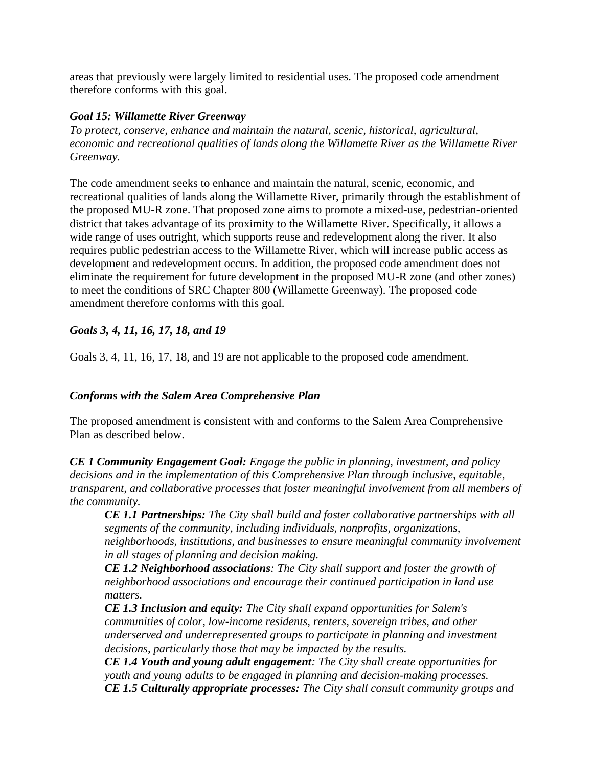areas that previously were largely limited to residential uses. The proposed code amendment therefore conforms with this goal.

#### *Goal 15: Willamette River Greenway*

*To protect, conserve, enhance and maintain the natural, scenic, historical, agricultural, economic and recreational qualities of lands along the Willamette River as the Willamette River Greenway.*

The code amendment seeks to enhance and maintain the natural, scenic, economic, and recreational qualities of lands along the Willamette River, primarily through the establishment of the proposed MU-R zone. That proposed zone aims to promote a mixed-use, pedestrian-oriented district that takes advantage of its proximity to the Willamette River. Specifically, it allows a wide range of uses outright, which supports reuse and redevelopment along the river. It also requires public pedestrian access to the Willamette River, which will increase public access as development and redevelopment occurs. In addition, the proposed code amendment does not eliminate the requirement for future development in the proposed MU-R zone (and other zones) to meet the conditions of SRC Chapter 800 (Willamette Greenway). The proposed code amendment therefore conforms with this goal.

### *Goals 3, 4, 11, 16, 17, 18, and 19*

Goals 3, 4, 11, 16, 17, 18, and 19 are not applicable to the proposed code amendment.

# *Conforms with the Salem Area Comprehensive Plan*

The proposed amendment is consistent with and conforms to the Salem Area Comprehensive Plan as described below.

*CE 1 Community Engagement Goal: Engage the public in planning, investment, and policy decisions and in the implementation of this Comprehensive Plan through inclusive, equitable, transparent, and collaborative processes that foster meaningful involvement from all members of the community.*

*CE 1.1 Partnerships: The City shall build and foster collaborative partnerships with all segments of the community, including individuals, nonprofits, organizations, neighborhoods, institutions, and businesses to ensure meaningful community involvement in all stages of planning and decision making.* 

*CE 1.2 Neighborhood associations: The City shall support and foster the growth of neighborhood associations and encourage their continued participation in land use matters.* 

*CE 1.3 Inclusion and equity: The City shall expand opportunities for Salem's communities of color, low-income residents, renters, sovereign tribes, and other underserved and underrepresented groups to participate in planning and investment decisions, particularly those that may be impacted by the results.* 

*CE 1.4 Youth and young adult engagement: The City shall create opportunities for youth and young adults to be engaged in planning and decision-making processes. CE 1.5 Culturally appropriate processes: The City shall consult community groups and*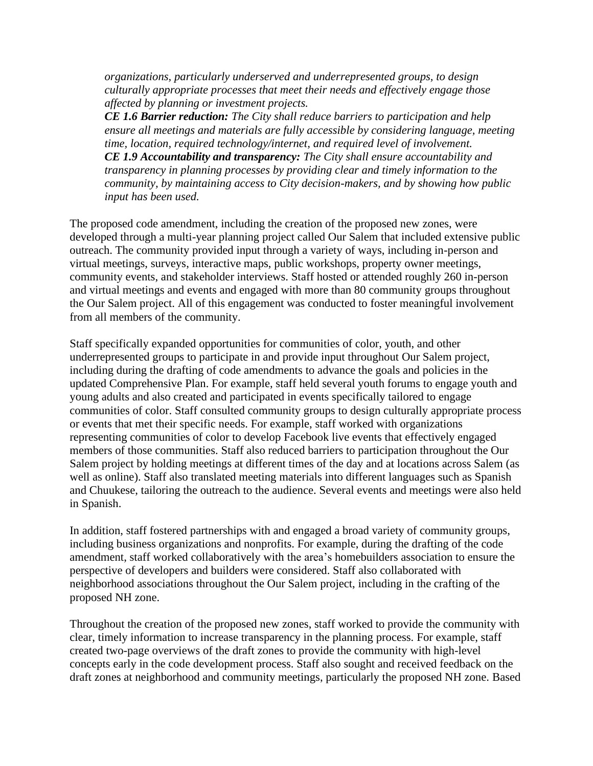*organizations, particularly underserved and underrepresented groups, to design culturally appropriate processes that meet their needs and effectively engage those affected by planning or investment projects.* 

*CE 1.6 Barrier reduction: The City shall reduce barriers to participation and help ensure all meetings and materials are fully accessible by considering language, meeting time, location, required technology/internet, and required level of involvement. CE 1.9 Accountability and transparency: The City shall ensure accountability and transparency in planning processes by providing clear and timely information to the community, by maintaining access to City decision-makers, and by showing how public input has been used.*

The proposed code amendment, including the creation of the proposed new zones, were developed through a multi-year planning project called Our Salem that included extensive public outreach. The community provided input through a variety of ways, including in-person and virtual meetings, surveys, interactive maps, public workshops, property owner meetings, community events, and stakeholder interviews. Staff hosted or attended roughly 260 in-person and virtual meetings and events and engaged with more than 80 community groups throughout the Our Salem project. All of this engagement was conducted to foster meaningful involvement from all members of the community.

Staff specifically expanded opportunities for communities of color, youth, and other underrepresented groups to participate in and provide input throughout Our Salem project, including during the drafting of code amendments to advance the goals and policies in the updated Comprehensive Plan. For example, staff held several youth forums to engage youth and young adults and also created and participated in events specifically tailored to engage communities of color. Staff consulted community groups to design culturally appropriate process or events that met their specific needs. For example, staff worked with organizations representing communities of color to develop Facebook live events that effectively engaged members of those communities. Staff also reduced barriers to participation throughout the Our Salem project by holding meetings at different times of the day and at locations across Salem (as well as online). Staff also translated meeting materials into different languages such as Spanish and Chuukese, tailoring the outreach to the audience. Several events and meetings were also held in Spanish.

In addition, staff fostered partnerships with and engaged a broad variety of community groups, including business organizations and nonprofits. For example, during the drafting of the code amendment, staff worked collaboratively with the area's homebuilders association to ensure the perspective of developers and builders were considered. Staff also collaborated with neighborhood associations throughout the Our Salem project, including in the crafting of the proposed NH zone.

Throughout the creation of the proposed new zones, staff worked to provide the community with clear, timely information to increase transparency in the planning process. For example, staff created two-page overviews of the draft zones to provide the community with high-level concepts early in the code development process. Staff also sought and received feedback on the draft zones at neighborhood and community meetings, particularly the proposed NH zone. Based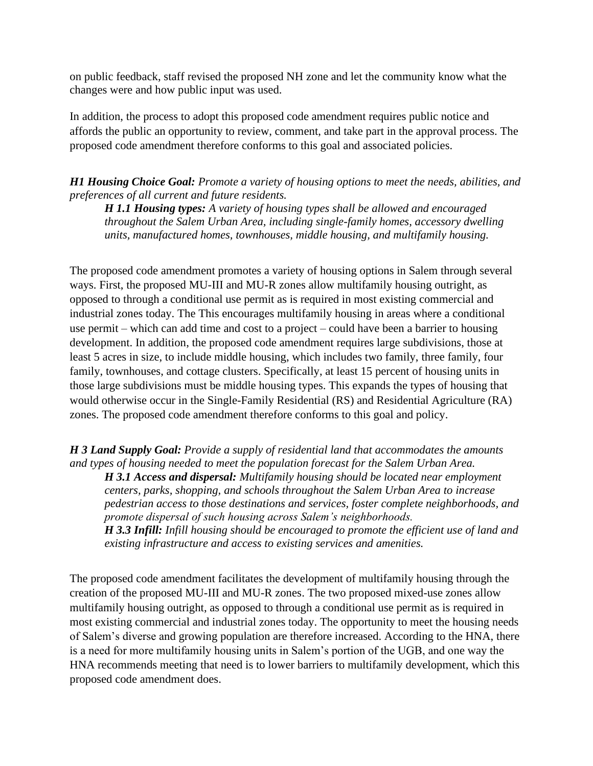on public feedback, staff revised the proposed NH zone and let the community know what the changes were and how public input was used.

In addition, the process to adopt this proposed code amendment requires public notice and affords the public an opportunity to review, comment, and take part in the approval process. The proposed code amendment therefore conforms to this goal and associated policies.

*H1 Housing Choice Goal: Promote a variety of housing options to meet the needs, abilities, and preferences of all current and future residents.*

*H 1.1 Housing types: A variety of housing types shall be allowed and encouraged throughout the Salem Urban Area, including single-family homes, accessory dwelling units, manufactured homes, townhouses, middle housing, and multifamily housing.*

The proposed code amendment promotes a variety of housing options in Salem through several ways. First, the proposed MU-III and MU-R zones allow multifamily housing outright, as opposed to through a conditional use permit as is required in most existing commercial and industrial zones today. The This encourages multifamily housing in areas where a conditional use permit – which can add time and cost to a project – could have been a barrier to housing development. In addition, the proposed code amendment requires large subdivisions, those at least 5 acres in size, to include middle housing, which includes two family, three family, four family, townhouses, and cottage clusters. Specifically, at least 15 percent of housing units in those large subdivisions must be middle housing types. This expands the types of housing that would otherwise occur in the Single-Family Residential (RS) and Residential Agriculture (RA) zones. The proposed code amendment therefore conforms to this goal and policy.

*H 3 Land Supply Goal: Provide a supply of residential land that accommodates the amounts and types of housing needed to meet the population forecast for the Salem Urban Area. H 3.1 Access and dispersal: Multifamily housing should be located near employment centers, parks, shopping, and schools throughout the Salem Urban Area to increase pedestrian access to those destinations and services, foster complete neighborhoods, and promote dispersal of such housing across Salem's neighborhoods. H 3.3 Infill: Infill housing should be encouraged to promote the efficient use of land and existing infrastructure and access to existing services and amenities.* 

The proposed code amendment facilitates the development of multifamily housing through the creation of the proposed MU-III and MU-R zones. The two proposed mixed-use zones allow multifamily housing outright, as opposed to through a conditional use permit as is required in most existing commercial and industrial zones today. The opportunity to meet the housing needs of Salem's diverse and growing population are therefore increased. According to the HNA, there is a need for more multifamily housing units in Salem's portion of the UGB, and one way the HNA recommends meeting that need is to lower barriers to multifamily development, which this proposed code amendment does.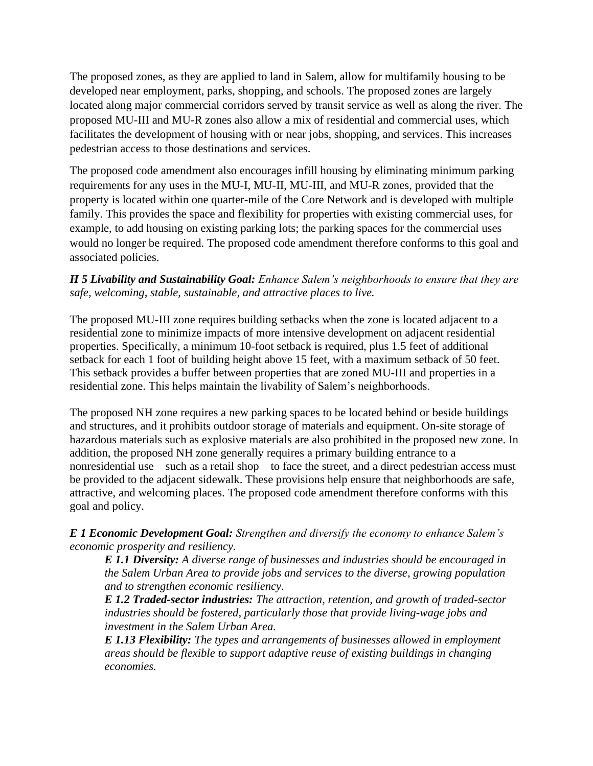The proposed zones, as they are applied to land in Salem, allow for multifamily housing to be developed near employment, parks, shopping, and schools. The proposed zones are largely located along major commercial corridors served by transit service as well as along the river. The proposed MU-III and MU-R zones also allow a mix of residential and commercial uses, which facilitates the development of housing with or near jobs, shopping, and services. This increases pedestrian access to those destinations and services.

The proposed code amendment also encourages infill housing by eliminating minimum parking requirements for any uses in the MU-I, MU-II, MU-III, and MU-R zones, provided that the property is located within one quarter-mile of the Core Network and is developed with multiple family. This provides the space and flexibility for properties with existing commercial uses, for example, to add housing on existing parking lots; the parking spaces for the commercial uses would no longer be required. The proposed code amendment therefore conforms to this goal and associated policies.

### *H 5 Livability and Sustainability Goal: Enhance Salem's neighborhoods to ensure that they are safe, welcoming, stable, sustainable, and attractive places to live.*

The proposed MU-III zone requires building setbacks when the zone is located adjacent to a residential zone to minimize impacts of more intensive development on adjacent residential properties. Specifically, a minimum 10-foot setback is required, plus 1.5 feet of additional setback for each 1 foot of building height above 15 feet, with a maximum setback of 50 feet. This setback provides a buffer between properties that are zoned MU-III and properties in a residential zone. This helps maintain the livability of Salem's neighborhoods.

The proposed NH zone requires a new parking spaces to be located behind or beside buildings and structures, and it prohibits outdoor storage of materials and equipment. On-site storage of hazardous materials such as explosive materials are also prohibited in the proposed new zone. In addition, the proposed NH zone generally requires a primary building entrance to a nonresidential use – such as a retail shop – to face the street, and a direct pedestrian access must be provided to the adjacent sidewalk. These provisions help ensure that neighborhoods are safe, attractive, and welcoming places. The proposed code amendment therefore conforms with this goal and policy.

*E 1 Economic Development Goal: Strengthen and diversify the economy to enhance Salem's economic prosperity and resiliency.*

*E 1.1 Diversity: A diverse range of businesses and industries should be encouraged in the Salem Urban Area to provide jobs and services to the diverse, growing population and to strengthen economic resiliency.*

*E 1.2 Traded-sector industries: The attraction, retention, and growth of traded-sector industries should be fostered, particularly those that provide living-wage jobs and investment in the Salem Urban Area.*

*E 1.13 Flexibility: The types and arrangements of businesses allowed in employment areas should be flexible to support adaptive reuse of existing buildings in changing economies.*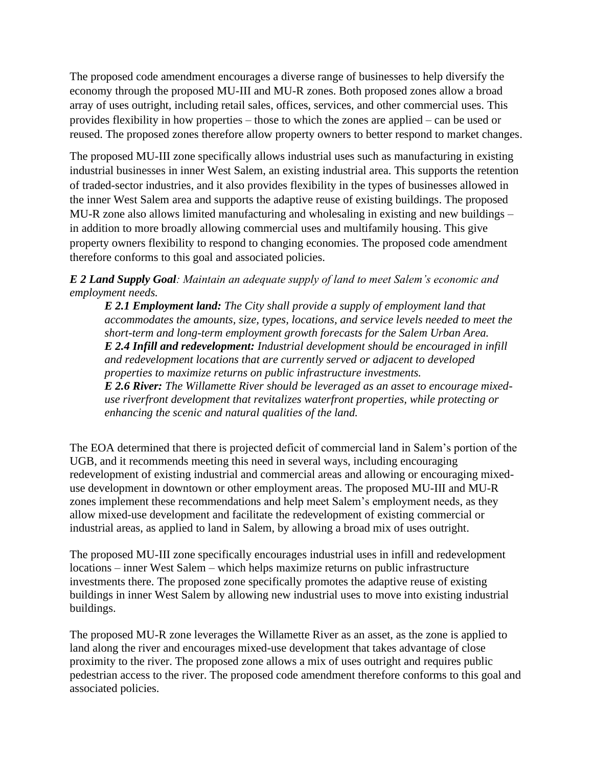The proposed code amendment encourages a diverse range of businesses to help diversify the economy through the proposed MU-III and MU-R zones. Both proposed zones allow a broad array of uses outright, including retail sales, offices, services, and other commercial uses. This provides flexibility in how properties – those to which the zones are applied – can be used or reused. The proposed zones therefore allow property owners to better respond to market changes.

The proposed MU-III zone specifically allows industrial uses such as manufacturing in existing industrial businesses in inner West Salem, an existing industrial area. This supports the retention of traded-sector industries, and it also provides flexibility in the types of businesses allowed in the inner West Salem area and supports the adaptive reuse of existing buildings. The proposed MU-R zone also allows limited manufacturing and wholesaling in existing and new buildings – in addition to more broadly allowing commercial uses and multifamily housing. This give property owners flexibility to respond to changing economies. The proposed code amendment therefore conforms to this goal and associated policies.

*E 2 Land Supply Goal: Maintain an adequate supply of land to meet Salem's economic and employment needs.*

*E 2.1 Employment land: The City shall provide a supply of employment land that accommodates the amounts, size, types, locations, and service levels needed to meet the short-term and long-term employment growth forecasts for the Salem Urban Area. E 2.4 Infill and redevelopment: Industrial development should be encouraged in infill and redevelopment locations that are currently served or adjacent to developed properties to maximize returns on public infrastructure investments.*

*E 2.6 River: The Willamette River should be leveraged as an asset to encourage mixeduse riverfront development that revitalizes waterfront properties, while protecting or enhancing the scenic and natural qualities of the land.*

The EOA determined that there is projected deficit of commercial land in Salem's portion of the UGB, and it recommends meeting this need in several ways, including encouraging redevelopment of existing industrial and commercial areas and allowing or encouraging mixeduse development in downtown or other employment areas. The proposed MU-III and MU-R zones implement these recommendations and help meet Salem's employment needs, as they allow mixed-use development and facilitate the redevelopment of existing commercial or industrial areas, as applied to land in Salem, by allowing a broad mix of uses outright.

The proposed MU-III zone specifically encourages industrial uses in infill and redevelopment locations – inner West Salem – which helps maximize returns on public infrastructure investments there. The proposed zone specifically promotes the adaptive reuse of existing buildings in inner West Salem by allowing new industrial uses to move into existing industrial buildings.

The proposed MU-R zone leverages the Willamette River as an asset, as the zone is applied to land along the river and encourages mixed-use development that takes advantage of close proximity to the river. The proposed zone allows a mix of uses outright and requires public pedestrian access to the river. The proposed code amendment therefore conforms to this goal and associated policies.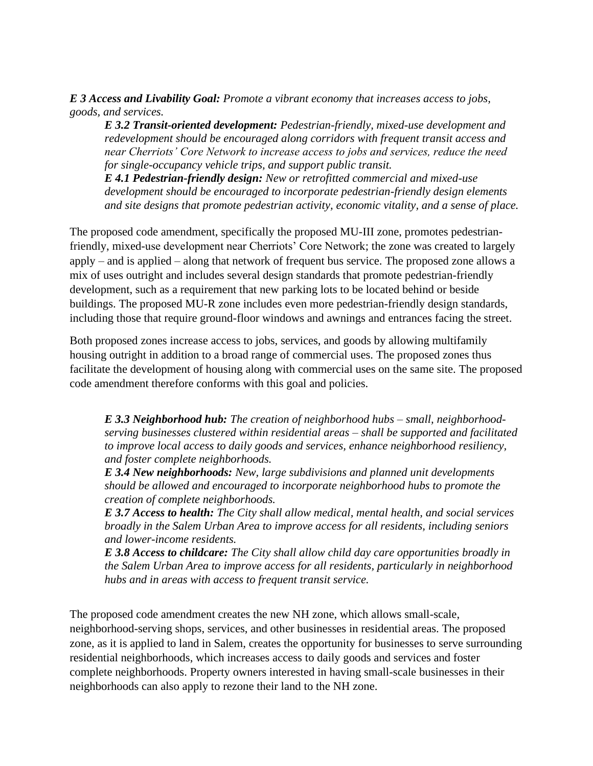*E 3 Access and Livability Goal: Promote a vibrant economy that increases access to jobs, goods, and services.*

*E 3.2 Transit-oriented development: Pedestrian-friendly, mixed-use development and redevelopment should be encouraged along corridors with frequent transit access and near Cherriots' Core Network to increase access to jobs and services, reduce the need for single-occupancy vehicle trips, and support public transit.*

*E 4.1 Pedestrian-friendly design: New or retrofitted commercial and mixed-use development should be encouraged to incorporate pedestrian-friendly design elements and site designs that promote pedestrian activity, economic vitality, and a sense of place.*

The proposed code amendment, specifically the proposed MU-III zone, promotes pedestrianfriendly, mixed-use development near Cherriots' Core Network; the zone was created to largely apply – and is applied – along that network of frequent bus service. The proposed zone allows a mix of uses outright and includes several design standards that promote pedestrian-friendly development, such as a requirement that new parking lots to be located behind or beside buildings. The proposed MU-R zone includes even more pedestrian-friendly design standards, including those that require ground-floor windows and awnings and entrances facing the street.

Both proposed zones increase access to jobs, services, and goods by allowing multifamily housing outright in addition to a broad range of commercial uses. The proposed zones thus facilitate the development of housing along with commercial uses on the same site. The proposed code amendment therefore conforms with this goal and policies.

*E 3.3 Neighborhood hub: The creation of neighborhood hubs – small, neighborhoodserving businesses clustered within residential areas – shall be supported and facilitated to improve local access to daily goods and services, enhance neighborhood resiliency, and foster complete neighborhoods.* 

*E 3.4 New neighborhoods: New, large subdivisions and planned unit developments should be allowed and encouraged to incorporate neighborhood hubs to promote the creation of complete neighborhoods.*

*E 3.7 Access to health: The City shall allow medical, mental health, and social services broadly in the Salem Urban Area to improve access for all residents, including seniors and lower-income residents.* 

*E 3.8 Access to childcare: The City shall allow child day care opportunities broadly in the Salem Urban Area to improve access for all residents, particularly in neighborhood hubs and in areas with access to frequent transit service.*

The proposed code amendment creates the new NH zone, which allows small-scale, neighborhood-serving shops, services, and other businesses in residential areas. The proposed zone, as it is applied to land in Salem, creates the opportunity for businesses to serve surrounding residential neighborhoods, which increases access to daily goods and services and foster complete neighborhoods. Property owners interested in having small-scale businesses in their neighborhoods can also apply to rezone their land to the NH zone.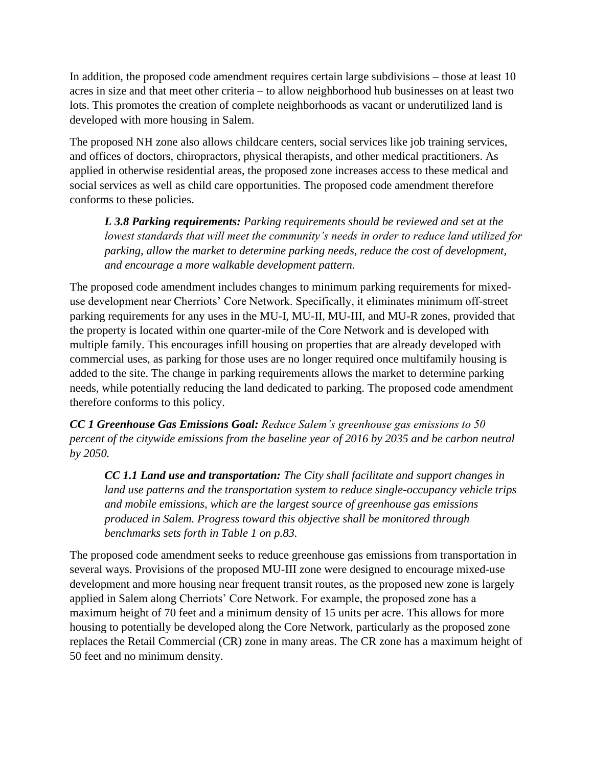In addition, the proposed code amendment requires certain large subdivisions – those at least 10 acres in size and that meet other criteria – to allow neighborhood hub businesses on at least two lots. This promotes the creation of complete neighborhoods as vacant or underutilized land is developed with more housing in Salem.

The proposed NH zone also allows childcare centers, social services like job training services, and offices of doctors, chiropractors, physical therapists, and other medical practitioners. As applied in otherwise residential areas, the proposed zone increases access to these medical and social services as well as child care opportunities. The proposed code amendment therefore conforms to these policies.

*L 3.8 Parking requirements: Parking requirements should be reviewed and set at the lowest standards that will meet the community's needs in order to reduce land utilized for parking, allow the market to determine parking needs, reduce the cost of development, and encourage a more walkable development pattern.*

The proposed code amendment includes changes to minimum parking requirements for mixeduse development near Cherriots' Core Network. Specifically, it eliminates minimum off-street parking requirements for any uses in the MU-I, MU-II, MU-III, and MU-R zones, provided that the property is located within one quarter-mile of the Core Network and is developed with multiple family. This encourages infill housing on properties that are already developed with commercial uses, as parking for those uses are no longer required once multifamily housing is added to the site. The change in parking requirements allows the market to determine parking needs, while potentially reducing the land dedicated to parking. The proposed code amendment therefore conforms to this policy.

*CC 1 Greenhouse Gas Emissions Goal: Reduce Salem's greenhouse gas emissions to 50 percent of the citywide emissions from the baseline year of 2016 by 2035 and be carbon neutral by 2050.* 

*CC 1.1 Land use and transportation: The City shall facilitate and support changes in land use patterns and the transportation system to reduce single-occupancy vehicle trips and mobile emissions, which are the largest source of greenhouse gas emissions produced in Salem. Progress toward this objective shall be monitored through benchmarks sets forth in Table 1 on p.83.*

The proposed code amendment seeks to reduce greenhouse gas emissions from transportation in several ways. Provisions of the proposed MU-III zone were designed to encourage mixed-use development and more housing near frequent transit routes, as the proposed new zone is largely applied in Salem along Cherriots' Core Network. For example, the proposed zone has a maximum height of 70 feet and a minimum density of 15 units per acre. This allows for more housing to potentially be developed along the Core Network, particularly as the proposed zone replaces the Retail Commercial (CR) zone in many areas. The CR zone has a maximum height of 50 feet and no minimum density.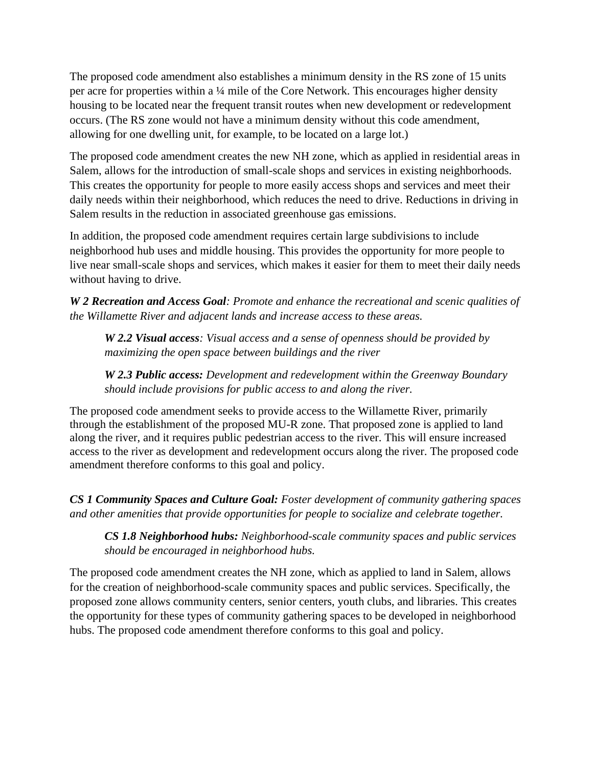The proposed code amendment also establishes a minimum density in the RS zone of 15 units per acre for properties within a ¼ mile of the Core Network. This encourages higher density housing to be located near the frequent transit routes when new development or redevelopment occurs. (The RS zone would not have a minimum density without this code amendment, allowing for one dwelling unit, for example, to be located on a large lot.)

The proposed code amendment creates the new NH zone, which as applied in residential areas in Salem, allows for the introduction of small-scale shops and services in existing neighborhoods. This creates the opportunity for people to more easily access shops and services and meet their daily needs within their neighborhood, which reduces the need to drive. Reductions in driving in Salem results in the reduction in associated greenhouse gas emissions.

In addition, the proposed code amendment requires certain large subdivisions to include neighborhood hub uses and middle housing. This provides the opportunity for more people to live near small-scale shops and services, which makes it easier for them to meet their daily needs without having to drive.

*W 2 Recreation and Access Goal: Promote and enhance the recreational and scenic qualities of the Willamette River and adjacent lands and increase access to these areas.* 

*W 2.2 Visual access: Visual access and a sense of openness should be provided by maximizing the open space between buildings and the river* 

*W 2.3 Public access: Development and redevelopment within the Greenway Boundary should include provisions for public access to and along the river.*

The proposed code amendment seeks to provide access to the Willamette River, primarily through the establishment of the proposed MU-R zone. That proposed zone is applied to land along the river, and it requires public pedestrian access to the river. This will ensure increased access to the river as development and redevelopment occurs along the river. The proposed code amendment therefore conforms to this goal and policy.

*CS 1 Community Spaces and Culture Goal: Foster development of community gathering spaces and other amenities that provide opportunities for people to socialize and celebrate together.*

*CS 1.8 Neighborhood hubs: Neighborhood-scale community spaces and public services should be encouraged in neighborhood hubs.*

The proposed code amendment creates the NH zone, which as applied to land in Salem, allows for the creation of neighborhood-scale community spaces and public services. Specifically, the proposed zone allows community centers, senior centers, youth clubs, and libraries. This creates the opportunity for these types of community gathering spaces to be developed in neighborhood hubs. The proposed code amendment therefore conforms to this goal and policy.